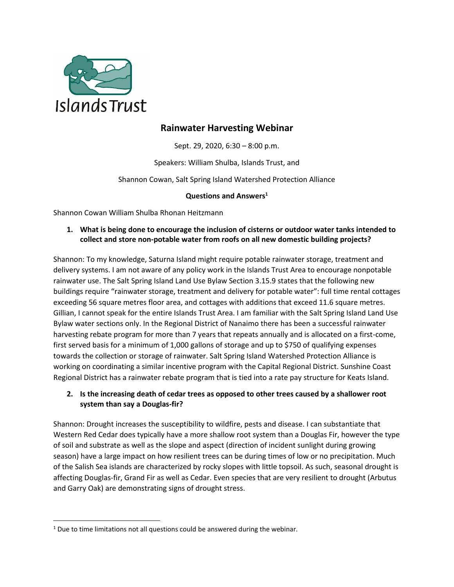

# **Rainwater Harvesting Webinar**

Sept. 29, 2020, 6:30 – 8:00 p.m.

Speakers: William Shulba, Islands Trust, and

Shannon Cowan, Salt Spring Island Watershed Protection Alliance

#### **Questions and Answers<sup>1</sup>**

Shannon Cowan William Shulba Rhonan Heitzmann

#### **1. What is being done to encourage the inclusion of cisterns or outdoor water tanks intended to collect and store non-potable water from roofs on all new domestic building projects?**

Shannon: To my knowledge, Saturna Island might require potable rainwater storage, treatment and delivery systems. I am not aware of any policy work in the Islands Trust Area to encourage nonpotable rainwater use. The Salt Spring Island Land Use Bylaw Section 3.15.9 states that the following new buildings require "rainwater storage, treatment and delivery for potable water": full time rental cottages exceeding 56 square metres floor area, and cottages with additions that exceed 11.6 square metres. Gillian, I cannot speak for the entire Islands Trust Area. I am familiar with the Salt Spring Island Land Use Bylaw water sections only. In the Regional District of Nanaimo there has been a successful rainwater harvesting rebate program for more than 7 years that repeats annually and is allocated on a first-come, first served basis for a minimum of 1,000 gallons of storage and up to \$750 of qualifying expenses towards the collection or storage of rainwater. Salt Spring Island Watershed Protection Alliance is working on coordinating a similar incentive program with the Capital Regional District. Sunshine Coast Regional District has a rainwater rebate program that is tied into a rate pay structure for Keats Island.

## **2. Is the increasing death of cedar trees as opposed to other trees caused by a shallower root system than say a Douglas-fir?**

Shannon: Drought increases the susceptibility to wildfire, pests and disease. I can substantiate that Western Red Cedar does typically have a more shallow root system than a Douglas Fir, however the type of soil and substrate as well as the slope and aspect (direction of incident sunlight during growing season) have a large impact on how resilient trees can be during times of low or no precipitation. Much of the Salish Sea islands are characterized by rocky slopes with little topsoil. As such, seasonal drought is affecting Douglas-fir, Grand Fir as well as Cedar. Even species that are very resilient to drought (Arbutus and Garry Oak) are demonstrating signs of drought stress.

 $\overline{\phantom{a}}$ 

 $1$  Due to time limitations not all questions could be answered during the webinar.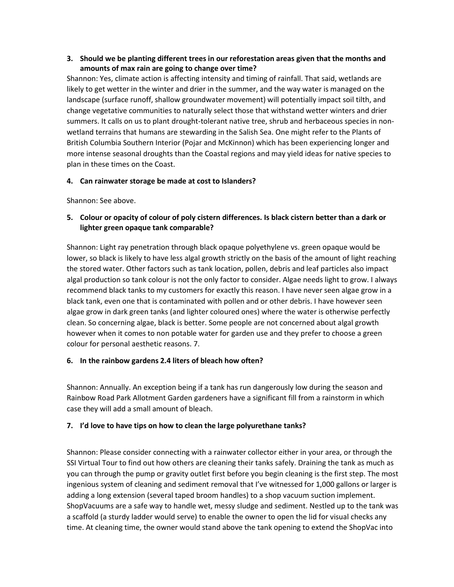#### **3. Should we be planting different trees in our reforestation areas given that the months and amounts of max rain are going to change over time?**

Shannon: Yes, climate action is affecting intensity and timing of rainfall. That said, wetlands are likely to get wetter in the winter and drier in the summer, and the way water is managed on the landscape (surface runoff, shallow groundwater movement) will potentially impact soil tilth, and change vegetative communities to naturally select those that withstand wetter winters and drier summers. It calls on us to plant drought-tolerant native tree, shrub and herbaceous species in nonwetland terrains that humans are stewarding in the Salish Sea. One might refer to the Plants of British Columbia Southern Interior (Pojar and McKinnon) which has been experiencing longer and more intense seasonal droughts than the Coastal regions and may yield ideas for native species to plan in these times on the Coast.

#### **4. Can rainwater storage be made at cost to Islanders?**

Shannon: See above.

## **5. Colour or opacity of colour of poly cistern differences. Is black cistern better than a dark or lighter green opaque tank comparable?**

Shannon: Light ray penetration through black opaque polyethylene vs. green opaque would be lower, so black is likely to have less algal growth strictly on the basis of the amount of light reaching the stored water. Other factors such as tank location, pollen, debris and leaf particles also impact algal production so tank colour is not the only factor to consider. Algae needs light to grow. I always recommend black tanks to my customers for exactly this reason. I have never seen algae grow in a black tank, even one that is contaminated with pollen and or other debris. I have however seen algae grow in dark green tanks (and lighter coloured ones) where the water is otherwise perfectly clean. So concerning algae, black is better. Some people are not concerned about algal growth however when it comes to non potable water for garden use and they prefer to choose a green colour for personal aesthetic reasons. 7.

## **6. In the rainbow gardens 2.4 liters of bleach how often?**

Shannon: Annually. An exception being if a tank has run dangerously low during the season and Rainbow Road Park Allotment Garden gardeners have a significant fill from a rainstorm in which case they will add a small amount of bleach.

## **7. I'd love to have tips on how to clean the large polyurethane tanks?**

Shannon: Please consider connecting with a rainwater collector either in your area, or through the SSI Virtual Tour to find out how others are cleaning their tanks safely. Draining the tank as much as you can through the pump or gravity outlet first before you begin cleaning is the first step. The most ingenious system of cleaning and sediment removal that I've witnessed for 1,000 gallons or larger is adding a long extension (several taped broom handles) to a shop vacuum suction implement. ShopVacuums are a safe way to handle wet, messy sludge and sediment. Nestled up to the tank was a scaffold (a sturdy ladder would serve) to enable the owner to open the lid for visual checks any time. At cleaning time, the owner would stand above the tank opening to extend the ShopVac into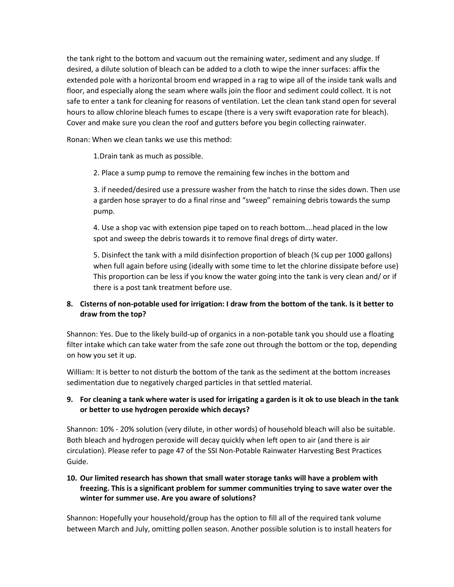the tank right to the bottom and vacuum out the remaining water, sediment and any sludge. If desired, a dilute solution of bleach can be added to a cloth to wipe the inner surfaces: affix the extended pole with a horizontal broom end wrapped in a rag to wipe all of the inside tank walls and floor, and especially along the seam where walls join the floor and sediment could collect. It is not safe to enter a tank for cleaning for reasons of ventilation. Let the clean tank stand open for several hours to allow chlorine bleach fumes to escape (there is a very swift evaporation rate for bleach). Cover and make sure you clean the roof and gutters before you begin collecting rainwater.

Ronan: When we clean tanks we use this method:

1.Drain tank as much as possible.

2. Place a sump pump to remove the remaining few inches in the bottom and

3. if needed/desired use a pressure washer from the hatch to rinse the sides down. Then use a garden hose sprayer to do a final rinse and "sweep" remaining debris towards the sump pump.

4. Use a shop vac with extension pipe taped on to reach bottom….head placed in the low spot and sweep the debris towards it to remove final dregs of dirty water.

5. Disinfect the tank with a mild disinfection proportion of bleach (¾ cup per 1000 gallons) when full again before using (ideally with some time to let the chlorine dissipate before use) This proportion can be less if you know the water going into the tank is very clean and/ or if there is a post tank treatment before use.

## **8. Cisterns of non-potable used for irrigation: I draw from the bottom of the tank. Is it better to draw from the top?**

Shannon: Yes. Due to the likely build-up of organics in a non-potable tank you should use a floating filter intake which can take water from the safe zone out through the bottom or the top, depending on how you set it up.

William: It is better to not disturb the bottom of the tank as the sediment at the bottom increases sedimentation due to negatively charged particles in that settled material.

## **9. For cleaning a tank where water is used for irrigating a garden is it ok to use bleach in the tank or better to use hydrogen peroxide which decays?**

Shannon: 10% - 20% solution (very dilute, in other words) of household bleach will also be suitable. Both bleach and hydrogen peroxide will decay quickly when left open to air (and there is air circulation). Please refer to page 47 of the SSI Non-Potable Rainwater Harvesting Best Practices Guide.

## **10. Our limited research has shown that small water storage tanks will have a problem with freezing. This is a significant problem for summer communities trying to save water over the winter for summer use. Are you aware of solutions?**

Shannon: Hopefully your household/group has the option to fill all of the required tank volume between March and July, omitting pollen season. Another possible solution is to install heaters for